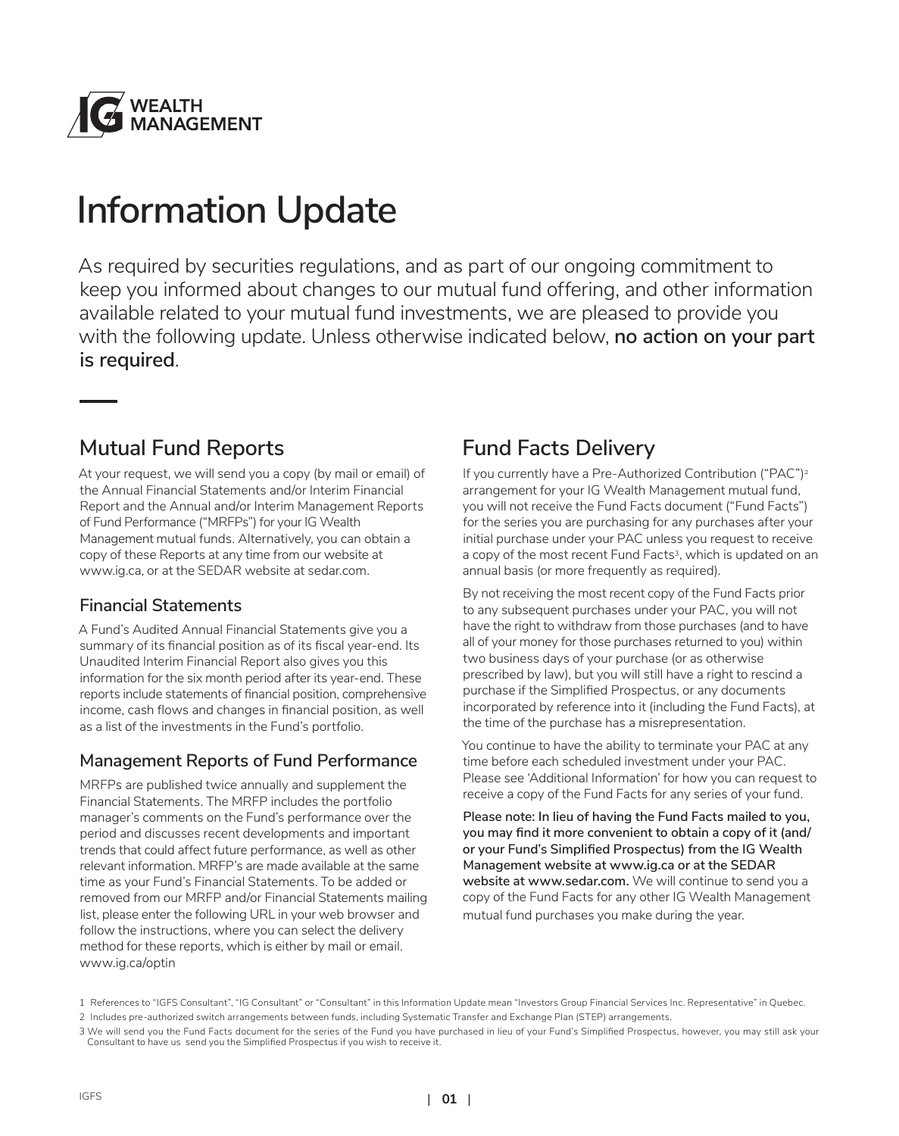

# **Information Update**

As required by securities regulations, and as part of our ongoing commitment to keep you informed about changes to our mutual fund offering, and other information available related to your mutual fund investments, we are pleased to provide you with the following update. Unless otherwise indicated below, **no action on your part is required**.

### **Mutual Fund Reports**

At your request, we will send you a copy (by mail or email) of the Annual Financial Statements and/or Interim Financial Report and the Annual and/or Interim Management Reports of Fund Performance ("MRFPs") for your IG Wealth Management mutual funds. Alternatively, you can obtain a copy of these Reports at any time from our website at www.ig.ca, or at the SEDAR website at sedar.com.

#### **Financial Statements**

A Fund's Audited Annual Financial Statements give you a summary of its financial position as of its fiscal year-end. Its Unaudited Interim Financial Report also gives you this information for the six month period after its year-end. These reports include statements of financial position, comprehensive income, cash flows and changes in financial position, as well as a list of the investments in the Fund's portfolio.

#### **Management Reports of Fund Performance**

MRFPs are published twice annually and supplement the Financial Statements. The MRFP includes the portfolio manager's comments on the Fund's performance over the period and discusses recent developments and important trends that could affect future performance, as well as other relevant information. MRFP's are made available at the same time as your Fund's Financial Statements. To be added or removed from our MRFP and/or Financial Statements mailing list, please enter the following URL in your web browser and follow the instructions, where you can select the delivery method for these reports, which is either by mail or email. www.ig.ca/optin

### **Fund Facts Delivery**

If you currently have a Pre-Authorized Contribution ("PAC")<sup>2</sup> arrangement for your IG Wealth Management mutual fund, you will not receive the Fund Facts document ("Fund Facts") for the series you are purchasing for any purchases after your initial purchase under your PAC unless you request to receive a copy of the most recent Fund Facts<sup>3</sup>, which is updated on an annual basis (or more frequently as required).

By not receiving the most recent copy of the Fund Facts prior to any subsequent purchases under your PAC, you will not have the right to withdraw from those purchases (and to have all of your money for those purchases returned to you) within two business days of your purchase (or as otherwise prescribed by law), but you will still have a right to rescind a purchase if the Simplified Prospectus, or any documents incorporated by reference into it (including the Fund Facts), at the time of the purchase has a misrepresentation.

You continue to have the ability to terminate your PAC at any time before each scheduled investment under your PAC. Please see 'Additional Information' for how you can request to receive a copy of the Fund Facts for any series of your fund.

**Please note: In lieu of having the Fund Facts mailed to you, you may find it more convenient to obtain a copy of it (and/ or your Fund's Simplified Prospectus) from the IG Wealth Management website at www.ig.ca or at the SEDAR website at www.sedar.com.** We will continue to send you a copy of the Fund Facts for any other IG Wealth Management mutual fund purchases you make during the year.

<sup>1</sup> References to "IGFS Consultant", "IG Consultant" or "Consultant" in this Information Update mean "Investors Group Financial Services Inc. Representative" in Quebec.

<sup>2</sup> Includes pre-authorized switch arrangements between funds, including Systematic Transfer and Exchange Plan (STEP) arrangements.

<sup>3</sup> We will send you the Fund Facts document for the series of the Fund you have purchased in lieu of your Fund's Simplified Prospectus, however, you may still ask your Consultant to have us send you the Simplified Prospectus if you wish to receive it.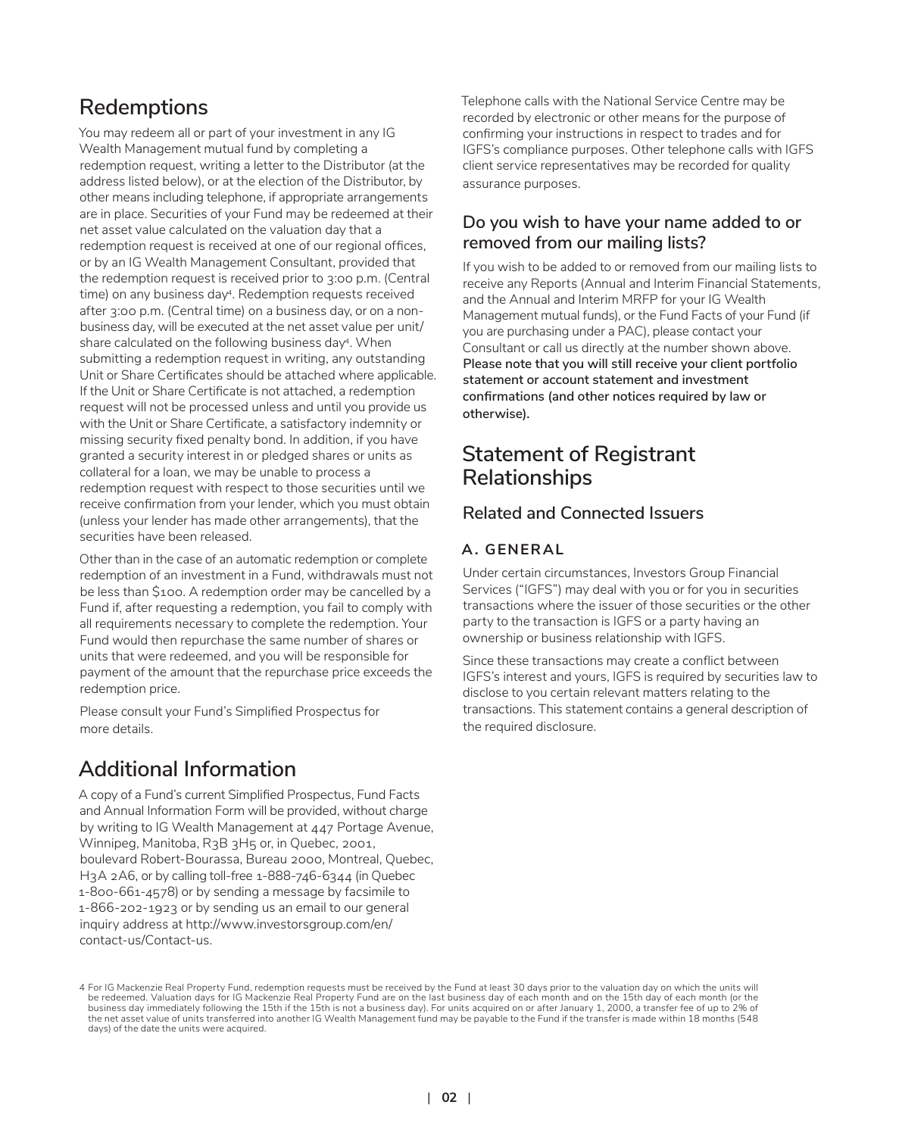### **Redemptions**

You may redeem all or part of your investment in any IG Wealth Management mutual fund by completing a redemption request, writing a letter to the Distributor (at the address listed below), or at the election of the Distributor, by other means including telephone, if appropriate arrangements are in place. Securities of your Fund may be redeemed at their net asset value calculated on the valuation day that a redemption request is received at one of our regional offices, or by an IG Wealth Management Consultant, provided that the redemption request is received prior to 3:00 p.m. (Central time) on any business day<sup>4</sup>. Redemption requests received after 3:00 p.m. (Central time) on a business day, or on a nonbusiness day, will be executed at the net asset value per unit/ share calculated on the following business day4. When submitting a redemption request in writing, any outstanding Unit or Share Certificates should be attached where applicable. If the Unit or Share Certificate is not attached, a redemption request will not be processed unless and until you provide us with the Unit or Share Certificate, a satisfactory indemnity or missing security fixed penalty bond. In addition, if you have granted a security interest in or pledged shares or units as collateral for a loan, we may be unable to process a redemption request with respect to those securities until we receive confirmation from your lender, which you must obtain (unless your lender has made other arrangements), that the securities have been released.

Other than in the case of an automatic redemption or complete redemption of an investment in a Fund, withdrawals must not be less than \$100. A redemption order may be cancelled by a Fund if, after requesting a redemption, you fail to comply with all requirements necessary to complete the redemption. Your Fund would then repurchase the same number of shares or units that were redeemed, and you will be responsible for payment of the amount that the repurchase price exceeds the redemption price.

Please consult your Fund's Simplified Prospectus for more details.

### **Additional Information**

A copy of a Fund's current Simplified Prospectus, Fund Facts and Annual Information Form will be provided, without charge by writing to IG Wealth Management at 447 Portage Avenue, Winnipeg, Manitoba, R3B 3H5 or, in Quebec, 2001, boulevard Robert-Bourassa, Bureau 2000, Montreal, Quebec, H3A 2A6, or by calling toll-free 1-888-746-6344 (in Quebec 1-800-661-4578) or by sending a message by facsimile to 1-866-202-1923 or by sending us an email to our general inquiry address at http://www.investorsgroup.com/en/ contact-us/Contact-us.

Telephone calls with the National Service Centre may be recorded by electronic or other means for the purpose of confirming your instructions in respect to trades and for IGFS's compliance purposes. Other telephone calls with IGFS client service representatives may be recorded for quality assurance purposes.

#### **Do you wish to have your name added to or removed from our mailing lists?**

If you wish to be added to or removed from our mailing lists to receive any Reports (Annual and Interim Financial Statements, and the Annual and Interim MRFP for your IG Wealth Management mutual funds), or the Fund Facts of your Fund (if you are purchasing under a PAC), please contact your Consultant or call us directly at the number shown above. **Please note that you will still receive your client portfolio statement or account statement and investment confirmations (and other notices required by law or otherwise).**

### **Statement of Registrant Relationships**

#### **Related and Connected Issuers**

#### **A. GENERAL**

Under certain circumstances, Investors Group Financial Services ("IGFS") may deal with you or for you in securities transactions where the issuer of those securities or the other party to the transaction is IGFS or a party having an ownership or business relationship with IGFS.

Since these transactions may create a conflict between IGFS's interest and yours, IGFS is required by securities law to disclose to you certain relevant matters relating to the transactions. This statement contains a general description of the required disclosure.

<sup>4</sup> For IG Mackenzie Real Property Fund, redemption requests must be received by the Fund at least 30 days prior to the valuation day on which the units will be redeemed. Valuation days for IG Mackenzie Real Property Fund are on the last business day of each month and on the 15th day of each month (or the business day immediately following the 15th if the 15th is not a business day). For units acquired on or after January 1, 2000, a transfer fee of up to 2% of the net asset value of units transferred into another IG Wealth Management fund may be payable to the Fund if the transfer is made within 18 months (548 days) of the date the units were acquired.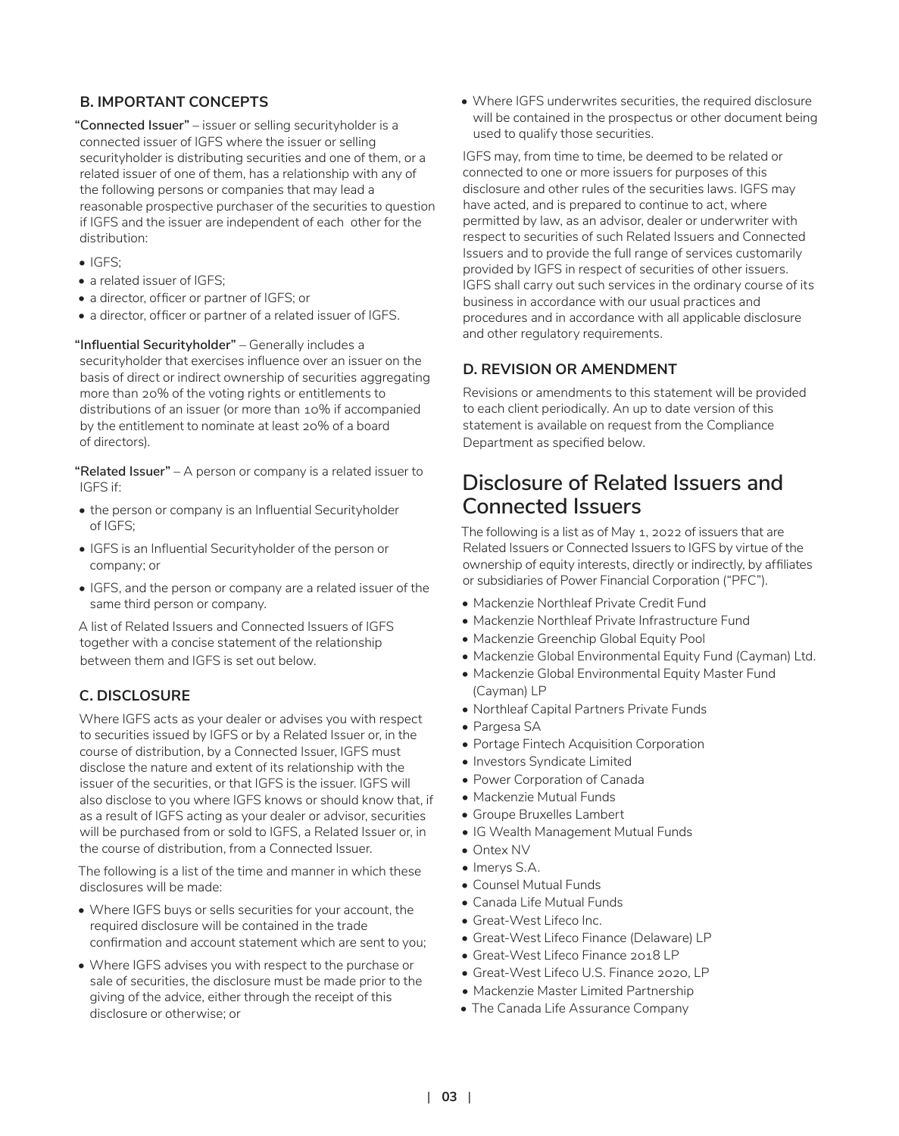#### **B. IMPORTANT CONCEPTS**

**"Connected Issuer"** – issuer or selling securityholder is a connected issuer of IGFS where the issuer or selling securityholder is distributing securities and one of them, or a related issuer of one of them, has a relationship with any of the following persons or companies that may lead a reasonable prospective purchaser of the securities to question if IGFS and the issuer are independent of each other for the distribution:

- IGFS;
- a related issuer of IGFS:
- a director, officer or partner of IGFS; or
- a director, officer or partner of a related issuer of IGFS.

**"Influential Securityholder"** – Generally includes a securityholder that exercises influence over an issuer on the basis of direct or indirect ownership of securities aggregating more than 20% of the voting rights or entitlements to distributions of an issuer (or more than 10% if accompanied by the entitlement to nominate at least 20% of a board of directors).

**"Related Issuer"** – A person or company is a related issuer to IGFS if:

- the person or company is an Influential Securityholder of IGFS;
- IGFS is an Influential Securityholder of the person or company; or
- IGFS, and the person or company are a related issuer of the same third person or company.

A list of Related Issuers and Connected Issuers of IGFS together with a concise statement of the relationship between them and IGFS is set out below.

#### **C. DISCLOSURE**

Where IGFS acts as your dealer or advises you with respect to securities issued by IGFS or by a Related Issuer or, in the course of distribution, by a Connected Issuer, IGFS must disclose the nature and extent of its relationship with the issuer of the securities, or that IGFS is the issuer. IGFS will also disclose to you where IGFS knows or should know that, if as a result of IGFS acting as your dealer or advisor, securities will be purchased from or sold to IGFS, a Related Issuer or, in the course of distribution, from a Connected Issuer.

The following is a list of the time and manner in which these disclosures will be made:

- Where IGFS buys or sells securities for your account, the required disclosure will be contained in the trade confirmation and account statement which are sent to you;
- Where IGFS advises you with respect to the purchase or sale of securities, the disclosure must be made prior to the giving of the advice, either through the receipt of this disclosure or otherwise; or

• Where IGFS underwrites securities, the required disclosure will be contained in the prospectus or other document being used to qualify those securities.

IGFS may, from time to time, be deemed to be related or connected to one or more issuers for purposes of this disclosure and other rules of the securities laws. IGFS may have acted, and is prepared to continue to act, where permitted by law, as an advisor, dealer or underwriter with respect to securities of such Related Issuers and Connected Issuers and to provide the full range of services customarily provided by IGFS in respect of securities of other issuers. IGFS shall carry out such services in the ordinary course of its business in accordance with our usual practices and procedures and in accordance with all applicable disclosure and other regulatory requirements.

#### **D. REVISION OR AMENDMENT**

Revisions or amendments to this statement will be provided to each client periodically. An up to date version of this statement is available on request from the Compliance Department as specified below.

### **Disclosure of Related Issuers and Connected Issuers**

The following is a list as of May 1, 2022 of issuers that are Related Issuers or Connected Issuers to IGFS by virtue of the ownership of equity interests, directly or indirectly, by affiliates or subsidiaries of Power Financial Corporation ("PFC").

- Mackenzie Northleaf Private Credit Fund
- Mackenzie Northleaf Private Infrastructure Fund
- Mackenzie Greenchip Global Equity Pool
- Mackenzie Global Environmental Equity Fund (Cayman) Ltd.
- Mackenzie Global Environmental Equity Master Fund (Cayman) LP
- Northleaf Capital Partners Private Funds
- Pargesa SA
- Portage Fintech Acquisition Corporation
- Investors Syndicate Limited
- Power Corporation of Canada
- Mackenzie Mutual Funds
- Groupe Bruxelles Lambert
- IG Wealth Management Mutual Funds
- Ontex NV
- Imerys S.A.
- Counsel Mutual Funds
- Canada Life Mutual Funds
- Great-West Lifeco Inc.
- Great-West Lifeco Finance (Delaware) LP
- Great-West Lifeco Finance 2018 LP
- Great-West Lifeco U.S. Finance 2020, LP
- Mackenzie Master Limited Partnership
- The Canada Life Assurance Company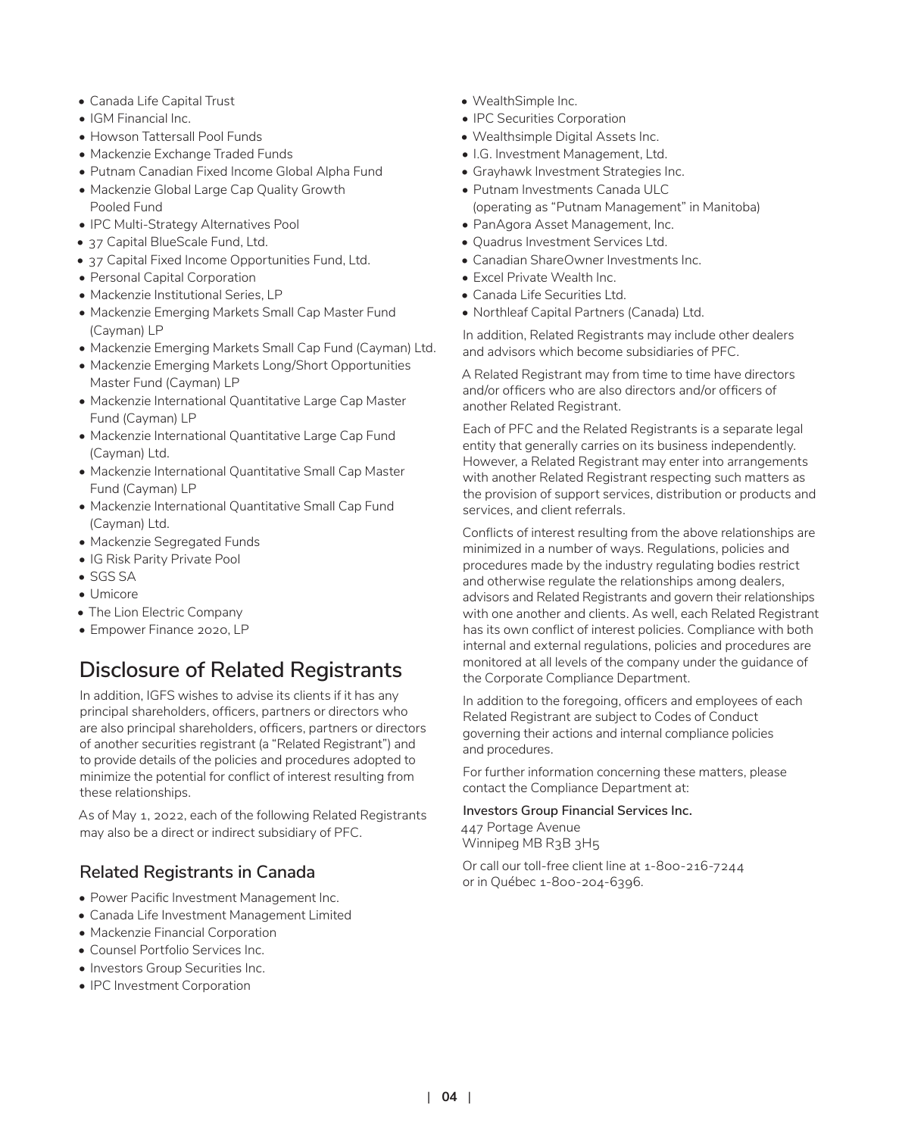- Canada Life Capital Trust
- IGM Financial Inc.
- Howson Tattersall Pool Funds
- Mackenzie Exchange Traded Funds
- Putnam Canadian Fixed Income Global Alpha Fund
- Mackenzie Global Large Cap Quality Growth Pooled Fund
- IPC Multi-Strategy Alternatives Pool
- 37 Capital BlueScale Fund, Ltd.
- 37 Capital Fixed Income Opportunities Fund, Ltd.
- Personal Capital Corporation
- Mackenzie Institutional Series, LP
- Mackenzie Emerging Markets Small Cap Master Fund (Cayman) LP
- Mackenzie Emerging Markets Small Cap Fund (Cayman) Ltd.
- Mackenzie Emerging Markets Long/Short Opportunities Master Fund (Cayman) LP
- Mackenzie International Quantitative Large Cap Master Fund (Cayman) LP
- Mackenzie International Quantitative Large Cap Fund (Cayman) Ltd.
- Mackenzie International Quantitative Small Cap Master Fund (Cayman) LP
- Mackenzie International Quantitative Small Cap Fund (Cayman) Ltd.
- Mackenzie Segregated Funds
- IG Risk Parity Private Pool
- SGS SA
- Umicore
- The Lion Electric Company
- Empower Finance 2020, LP

# **Disclosure of Related Registrants**

In addition, IGFS wishes to advise its clients if it has any principal shareholders, officers, partners or directors who are also principal shareholders, officers, partners or directors of another securities registrant (a "Related Registrant") and to provide details of the policies and procedures adopted to minimize the potential for conflict of interest resulting from these relationships.

As of May 1, 2022, each of the following Related Registrants may also be a direct or indirect subsidiary of PFC.

#### **Related Registrants in Canada**

- Power Pacific Investment Management Inc.
- Canada Life Investment Management Limited
- Mackenzie Financial Corporation
- Counsel Portfolio Services Inc.
- Investors Group Securities Inc.
- IPC Investment Corporation
- WealthSimple Inc.
- IPC Securities Corporation
- Wealthsimple Digital Assets Inc.
- I.G. Investment Management, Ltd.
- Grayhawk Investment Strategies Inc.
- Putnam Investments Canada ULC (operating as "Putnam Management" in Manitoba)
- PanAgora Asset Management, Inc.
- Quadrus Investment Services Ltd.
- Canadian ShareOwner Investments Inc.
- Excel Private Wealth Inc.
- Canada Life Securities Ltd.
- Northleaf Capital Partners (Canada) Ltd.

In addition, Related Registrants may include other dealers and advisors which become subsidiaries of PFC.

A Related Registrant may from time to time have directors and/or officers who are also directors and/or officers of another Related Registrant.

Each of PFC and the Related Registrants is a separate legal entity that generally carries on its business independently. However, a Related Registrant may enter into arrangements with another Related Registrant respecting such matters as the provision of support services, distribution or products and services, and client referrals.

Conflicts of interest resulting from the above relationships are minimized in a number of ways. Regulations, policies and procedures made by the industry regulating bodies restrict and otherwise regulate the relationships among dealers, advisors and Related Registrants and govern their relationships with one another and clients. As well, each Related Registrant has its own conflict of interest policies. Compliance with both internal and external regulations, policies and procedures are monitored at all levels of the company under the guidance of the Corporate Compliance Department.

In addition to the foregoing, officers and employees of each Related Registrant are subject to Codes of Conduct governing their actions and internal compliance policies and procedures.

For further information concerning these matters, please contact the Compliance Department at:

#### **Investors Group Financial Services Inc.**

447 Portage Avenue Winnipeg MB R3B 3H5

Or call our toll-free client line at 1-800-216-7244 or in Québec 1-800-204-6396.